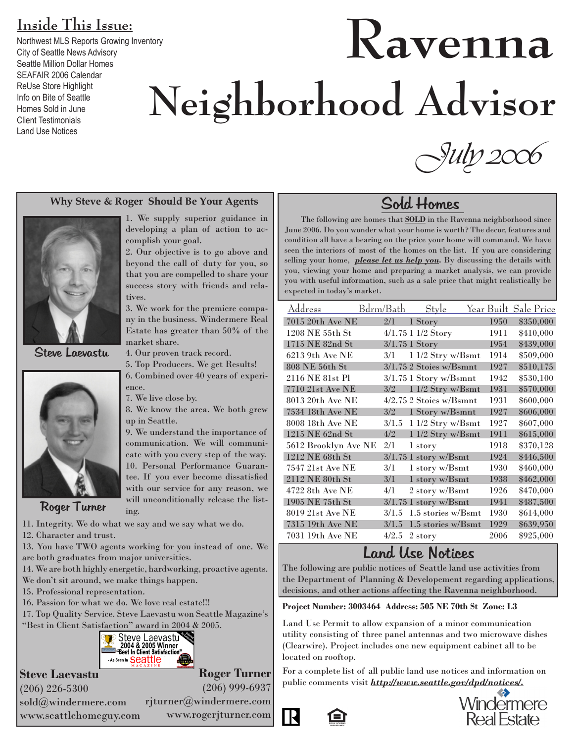### **Inside This Issue:**

Northwest MLS Reports Growing Inventory City of Seattle News Advisory Seattle Million Dollar Homes SEAFAIR 2006 Calendar ReUse Store Highlight Info on Bite of Seattle Homes Sold in June Client Testimonials Land Use Notices

# **Ravenna Neighborhood Advisor**

#### **Why Steve & Roger Should Be Your Agents**

tives.

market share.

complish your goal.

1. We supply superior guidance in developing a plan of action to ac-

2. Our objective is to go above and beyond the call of duty for you, so that you are compelled to share your success story with friends and rela-

3. We work for the premiere company in the business. Windermere Real Estate has greater than 50% of the

4. Our proven track record.



Steve Laevastu



Roger Turner

11. Integrity. We do what we say and we say what we do. ing.

- 12. Character and trust.
- 13. You have TWO agents working for you instead of one. We are both graduates from major universities.
- 14. We are both highly energetic, hardworking, proactive agents.
- We don't sit around, we make things happen.
- 15. Professional representation.
- 16. Passion for what we do. We love real estate!!!

17. Top Quality Service. Steve Laevastu won Seattle Magazine's "Best in Client Satisfaction" award in 2004 & 2005.



### **Steve Laevastu**

**Roger Turner** (206) 999-6937

(206) 226-5300 sold@windermere.com www.seattlehomeguy.com

rjturner@windermere.com

www.rogerjturner.com

*<u>-July 2006</u>* 

### Sold Homes

 The following are homes that **SOLD** in the Ravenna neighborhood since June 2006. Do you wonder what your home is worth? The decor, features and condition all have a bearing on the price your home will command. We have seen the interiors of most of the homes on the list. If you are considering selling your home, *please let us help you.* By discussing the details with you, viewing your home and preparing a market analysis, we can provide you with useful information, such as a sale price that might realistically be expected in today's market.

| <u> Address</u>      | Bdrm/Bath | Style                     |      | Year Built Sale Price |
|----------------------|-----------|---------------------------|------|-----------------------|
| 7015 20th Ave NE     | 2/1       | 1 Story                   | 1950 | \$350,000             |
| 1208 NE 55th St      |           | 4/1.75 1 1/2 Story        | 1911 | \$410,000             |
| 1715 NE 82nd St      |           | 3/1.75 1 Story            | 1954 | \$439,000             |
| 6213 9th Ave NE      | 3/1       | 1 1/2 Stry w/Bsmt         | 1914 | \$509,000             |
| 808 NE 56th St       |           | $3/1.75$ 2 Stoies w/Bsmnt | 1927 | \$510,175             |
| 2116 NE 81st Pl      |           | $3/1.75$ 1 Story w/Bsmnt  | 1942 | \$530,100             |
| 7710 21st Ave NE     | 3/2       | 1 1/2 Stry w/Bsmt         | 1931 | \$570,000             |
| 8013 20th Ave NE     |           | 4/2.75 2 Stoies w/Bsmnt   | 1931 | \$600,000             |
| 7534 18th Ave NE     | 3/2       | 1 Story w/Bsmnt           | 1927 | \$606,000             |
| 8008 18th Ave NE     | 3/1.5     | 1 1/2 Stry w/Bsmt         | 1927 | \$607,000             |
| 1215 NE 62nd St      | 4/2       | 1 1/2 Stry w/Bsmt         | 1911 | \$615,000             |
| 5612 Brooklyn Ave NE | 2/1       | 1 story                   | 1918 | \$370,128             |
| 1212 NE 68th St      |           | $3/1.75$ 1 story w/Bsmt   | 1924 | \$446,500             |
| 7547 21st Ave NE     | 3/1       | 1 story w/Bsmt            | 1930 | \$460,000             |
| 2112 NE 80th St      | 3/1       | 1 story w/Bsmt            | 1938 | \$462,000             |
| 4722 8th Ave NE      | 4/1       | 2 story w/Bsmt            | 1926 | \$470,000             |
| 1905 NE 75th St      |           | $3/1.75$ 1 story w/Bsmt   | 1941 | \$487,500             |
| 8019 21st Ave NE     | 3/1.5     | 1.5 stories w/Bsmt        | 1930 | \$614,000             |
| 7315 19th Ave NE     | 3/1.5     | 1.5 stories w/Bsmt        | 1929 | \$639,950             |
| 7031 19th Ave NE     | 4/2.5     | 2 story                   | 2006 | \$925,000             |

### Land Use Notices

The following are public notices of Seattle land use activities from the Department of Planning & Developement regarding applications, decisions, and other actions affecting the Ravenna neighborhood.

#### **Project Number: 3003464 Address: 505 NE 70th St Zone: L3**

Land Use Permit to allow expansion of a minor communication utility consisting of three panel antennas and two microwave dishes (Clearwire). Project includes one new equipment cabinet all to be located on rooftop.

For a complete list of all public land use notices and information on public comments visit *http://www.seattle.gov/dpd/notices/.*



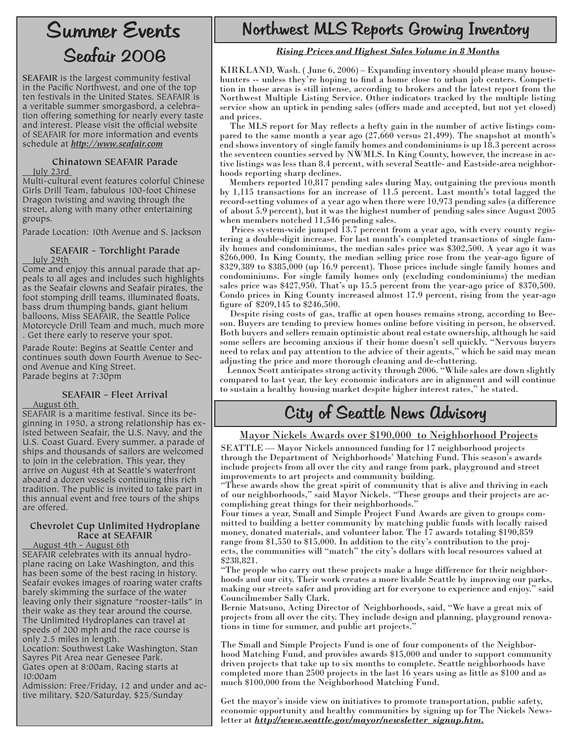### Seafair 2006 Summer Events

**SEAFAIR** is the largest community festival in the Pacific Northwest, and one of the top ten festivals in the United States. SEAFAIR is a veritable summer smorgasbord, a celebration offering something for nearly every taste and interest. Please visit the official website of SEAFAIR for more information and events schedule at *http://www.seafair.com*

#### **Chinatown SEAFAIR Parade** July 23rd

Multi-cultural event features colorful Chinese Girls Drill Team, fabulous 100-foot Chinese Dragon twisting and waving through the street, along with many other entertaining groups.

Parade Location: 10th Avenue and S. Jackson

### **SEAFAIR - Torchlight Parade**

<u>July 29th</u><br>Come and enjoy this annual parade that appeals to all ages and includes such highlights as the Seafair clowns and Seafair pirates, the foot stomping drill teams, illuminated floats, bass drum thumping bands, giant helium balloons, Miss SEAFAIR, the Seattle Police Motorcycle Drill Team and much, much more . Get there early to reserve your spot.

Parade Route: Begins at Seattle Center and continues south down Fourth Avenue to Second Avenue and King Street. Parade begins at 7:30pm

#### **SEAFAIR - Fleet Arrival**

#### August 6th

SEAFAIR is a maritime festival. Since its beginning in 1950, a strong relationship has existed between Seafair, the U.S. Navy, and the U.S. Coast Guard. Every summer, a parade of ships and thousands of sailors are welcomed to join in the celebration. This year, they arrive on August 4th at Seattle's waterfront aboard a dozen vessels continuing this rich tradition. The public is invited to take part in this annual event and free tours of the ships are offered.

#### **Chevrolet Cup Unlimited Hydroplane Race at SEAFAIR**

 August 4th - August 6th SEAFAIR celebrates with its annual hydroplane racing on Lake Washington, and this has been some of the best racing in history. Seafair evokes images of roaring water crafts barely skimming the surface of the water leaving only their signature "rooster-tails" in their wake as they tear around the course. The Unlimited Hydroplanes can travel at speeds of 200 mph and the race course is only 2.5 miles in length.

Location: Southwest Lake Washington, Stan Sayres Pit Area near Genesee Park. Gates open at 8:00am, Racing starts at

10:00am

Admission: Free/Friday, 12 and under and active military, \$20/Saturday, \$25/Sunday

### Northwest MLS Reports Growing Inventory

#### *Rising Prices and Highest Sales Volume in 8 Months*

KIRKLAND, Wash. ( June 6, 2006) – Expanding inventory should please many househunters -- unless they're hoping to find a home close to urban job centers. Competition in those areas is still intense, according to brokers and the latest report from the Northwest Multiple Listing Service. Other indicators tracked by the multiple listing service show an uptick in pending sales (offers made and accepted, but not yet closed) and prices.

The MLS report for May reflects a hefty gain in the number of active listings compared to the same month a year ago (27,660 versus 21,499). The snapshot at month's end shows inventory of single family homes and condominiums is up 18.3 percent across the seventeen counties served by NWMLS. In King County, however, the increase in active listings was less than 8.4 percent, with several Seattle- and Eastside-area neighborhoods reporting sharp declines.

 Members reported 10,817 pending sales during May, outgaining the previous month by 1,115 transactions for an increase of 11.5 percent. Last month's total lagged the record-setting volumes of a year ago when there were 10,973 pending sales (a difference of about 5.9 percent), but it was the highest number of pending sales since August 2005 when members notched 11,546 pending sales.

 Prices system-wide jumped 13.7 percent from a year ago, with every county registering a double-digit increase. For last month's completed transactions of single family homes and condominiums, the median sales price was \$302,500. A year ago it was \$266,000. In King County, the median selling price rose from the year-ago figure of \$329,389 to \$385,000 (up 16.9 percent). Those prices include single family homes and condominiums. For single family homes only (excluding condominiums) the median sales price was \$427,950. That's up 15.5 percent from the year-ago price of \$370,500. Condo prices in King County increased almost 17.9 percent, rising from the year-ago figure of \$209,145 to \$246,500.

 Despite rising costs of gas, traffic at open houses remains strong, according to Beeson. Buyers are tending to preview homes online before visiting in person, he observed. Both buyers and sellers remain optimistic about real estate ownership, although he said some sellers are becoming anxious if their home doesn't sell quickly. "Nervous buyers need to relax and pay attention to the advice of their agents," which he said may mean adjusting the price and more thorough cleaning and de-cluttering.

 Lennox Scott anticipates strong activity through 2006. "While sales are down slightly compared to last year, the key economic indicators are in alignment and will continue to sustain a healthy housing market despite higher interest rates," he stated.

### City of Seattle News Advisory

#### Mayor Nickels Awards over \$190,000 to Neighborhood Projects

SEATTLE — Mayor Nickels announced funding for 17 neighborhood projects through the Department of Neighborhoods' Matching Fund. This season's awards include projects from all over the city and range from park, playground and street improvements to art projects and community building.

"These awards show the great spirit of community that is alive and thriving in each of our neighborhoods," said Mayor Nickels. "These groups and their projects are ac- complishing great things for their neighborhoods."

mitted to building a better community by matching public funds with locally raised money, donated materials, and volunteer labor. The 17 awards totaling \$190,859 range from \$1,550 to \$15,000. In addition to the city's contribution to the proj- ects, the communities will "match" the city's dollars with local resources valued at \$238,821.

"The people who carry out these projects make a huge difference for their neighbor- hoods and our city. Their work creates a more livable Seattle by improving our parks, making our streets safer and providing art for everyone to experience and enjoy." said Councilmember Sally Clark.

Bernie Matsuno, Acting Director of Neighborhoods, said, "We have a great mix of projects from all over the city. They include design and planning, playground renova- tions in time for summer, and public art projects."

The Small and Simple Projects Fund is one of four components of the Neighborhood Matching Fund, and provides awards \$15,000 and under to support community driven projects that take up to six months to complete. Seattle neighborhoods have completed more than 2500 projects in the last 16 years using as little as \$100 and as much \$100,000 from the Neighborhood Matching Fund.

Get the mayor's inside view on initiatives to promote transportation, public safety, economic opportunity and healthy communities by signing up for The Nickels Newsletter at *http://www.seattle.gov/mayor/newsletter\_signup.htm.*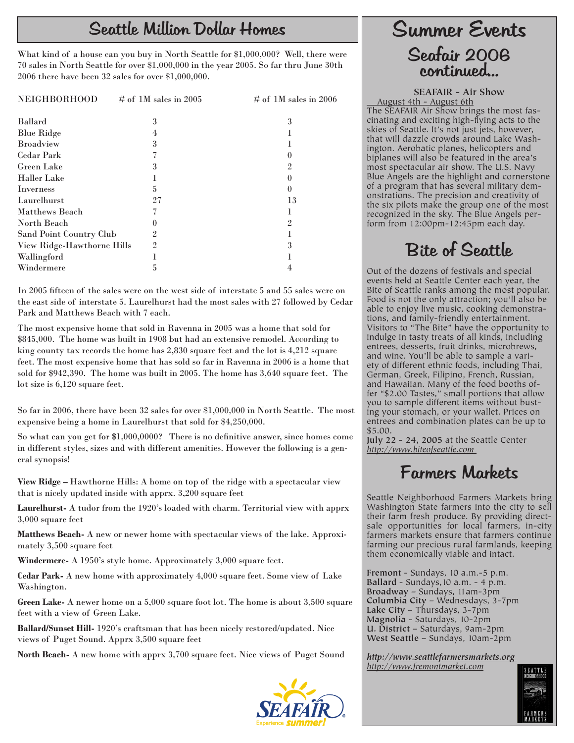### Seattle Million Dollar Homes Summer Events

What kind of a house can you buy in North Seattle for \$1,000,000? Well, there were 70 sales in North Seattle for over \$1,000,000 in the year 2005. So far thru June 30th 2006 there have been 32 sales for over \$1,000,000.

| <b>NEIGHBORHOOD</b>        | # of 1M sales in 2005 | # of 1M sales in 2006 |
|----------------------------|-----------------------|-----------------------|
| <b>Ballard</b>             | 3                     | 3                     |
| <b>Blue Ridge</b>          |                       |                       |
| <b>Broadview</b>           | 3                     |                       |
| <b>Cedar Park</b>          |                       |                       |
| <b>Green Lake</b>          | 3                     | 9.                    |
| <b>Haller Lake</b>         |                       |                       |
| Inverness                  | 5                     |                       |
| Laurelhurst                | 27                    | 13                    |
| Matthews Beach             |                       |                       |
| North Beach                |                       | 2                     |
| Sand Point Country Club    | 2                     |                       |
| View Ridge-Hawthorne Hills | $\mathfrak{D}$        |                       |
| Wallingford                |                       |                       |
| Windermere                 |                       |                       |

In 2005 fifteen of the sales were on the west side of interstate 5 and 55 sales were on the east side of interstate 5. Laurelhurst had the most sales with 27 followed by Cedar Park and Matthews Beach with 7 each.

The most expensive home that sold in Ravenna in 2005 was a home that sold for \$845,000. The home was built in 1908 but had an extensive remodel. According to king county tax records the home has 2,830 square feet and the lot is 4,212 square feet. The most expensive home that has sold so far in Ravenna in 2006 is a home that sold for \$942,390. The home was built in 2005. The home has 3,640 square feet. The lot size is 6,120 square feet.

So far in 2006, there have been 32 sales for over \$1,000,000 in North Seattle. The most expensive being a home in Laurelhurst that sold for \$4,250,000.

So what can you get for \$1,000,0000? There is no definitive answer, since homes come in different styles, sizes and with different amenities. However the following is a general synopsis!

**View Ridge –** Hawthorne Hills: A home on top of the ridge with a spectacular view that is nicely updated inside with apprx. 3,200 square feet

**Laurelhurst-** A tudor from the 1920's loaded with charm. Territorial view with apprx 3,000 square feet

**Matthews Beach-** A new or newer home with spectacular views of the lake. Approximately 3,500 square feet

**Windermere-** A 1950's style home. Approximately 3,000 square feet.

**Cedar Park-** A new home with approximately 4,000 square feet. Some view of Lake Washington.

**Green Lake-** A newer home on a 5,000 square foot lot. The home is about 3,500 square feet with a view of Green Lake.

**Ballard/Sunset Hill-** 1920's craftsman that has been nicely restored/updated. Nice views of Puget Sound. Apprx 3,500 square feet

**North Beach-** A new home with apprx 3,700 square feet. Nice views of Puget Sound



## Seafair 2006 continued...

**SEAFAIR - Air Show**

 August 4th - August 6th The SEAFAIR Air Show brings the most fascinating and exciting high-flying acts to the skies of Seattle. It's not just jets, however, that will dazzle crowds around Lake Washington. Aerobatic planes, helicopters and biplanes will also be featured in the area's most spectacular air show. The U.S. Navy Blue Angels are the highlight and cornerstone of a program that has several military demonstrations. The precision and creativity of the six pilots make the group one of the most recognized in the sky. The Blue Angels perform from 12:00pm-12:45pm each day.

### Bite of Seattle

Out of the dozens of festivals and special events held at Seattle Center each year, the Bite of Seattle ranks among the most popular. Food is not the only attraction; you'll also be able to enjoy live music, cooking demonstrations, and family-friendly entertainment. Visitors to "The Bite" have the opportunity to indulge in tasty treats of all kinds, including entrees, desserts, fruit drinks, microbrews, and wine. You'll be able to sample a variety of different ethnic foods, including Thai, German, Greek, Filipino, French, Russian, and Hawaiian. Many of the food booths offer "\$2.00 Tastes," small portions that allow you to sample different items without busting your stomach, or your wallet. Prices on entrees and combination plates can be up to \$5.00.

**July 22 - 24, 2005** at the Seattle Center *http://www.biteofseattle.com* 

### Farmers Markets

Seattle Neighborhood Farmers Markets bring Washington State farmers into the city to sell their farm fresh produce. By providing directsale opportunities for local farmers, in-city farmers markets ensure that farmers continue farming our precious rural farmlands, keeping them economically viable and intact.

**Fremont** - Sundays, 10 a.m.-5 p.m. **Ballard** - Sundays,10 a.m. - 4 p.m. **Broadway** – Sundays, 11am-3pm **Columbia City** – Wednesdays, 3-7pm **Lake City** – Thursdays, 3-7pm **Magnolia** - Saturdays, 10-2pm **U. District** – Saturdays, 9am-2pm **West Seattle** – Sundays, 10am-2pm

*http://www.seattlefarmersmarkets.org http://www.fremontmarket.com*